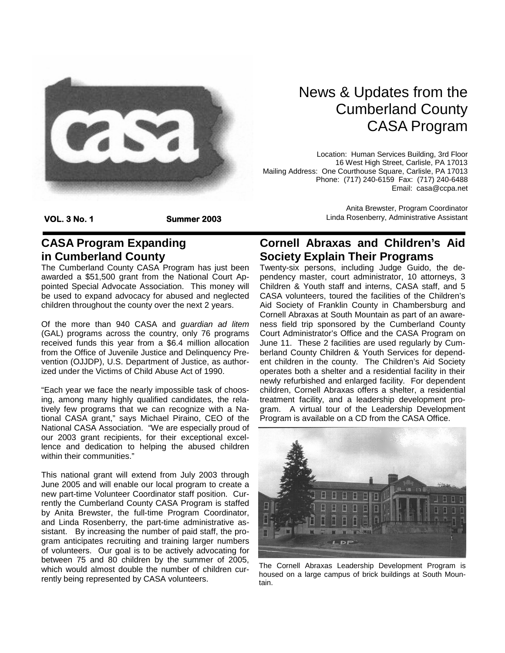

## News & Updates from the Cumberland County CASA Program

Location: Human Services Building, 3rd Floor 16 West High Street, Carlisle, PA 17013 Mailing Address: One Courthouse Square, Carlisle, PA 17013 Phone: (717) 240-6159 Fax: (717) 240-6488 Email: casa@ccpa.net

**VOL. 3 No. 1 Summer 2003** 

#### **CASA Program Expanding in Cumberland County**

The Cumberland County CASA Program has just been awarded a \$51,500 grant from the National Court Appointed Special Advocate Association. This money will be used to expand advocacy for abused and neglected children throughout the county over the next 2 years.

Of the more than 940 CASA and *guardian ad litem*  (GAL) programs across the country, only 76 programs received funds this year from a \$6.4 million allocation from the Office of Juvenile Justice and Delinquency Prevention (OJJDP), U.S. Department of Justice, as authorized under the Victims of Child Abuse Act of 1990.

"Each year we face the nearly impossible task of choosing, among many highly qualified candidates, the relatively few programs that we can recognize with a National CASA grant," says Michael Piraino, CEO of the National CASA Association. "We are especially proud of our 2003 grant recipients, for their exceptional excellence and dedication to helping the abused children within their communities."

This national grant will extend from July 2003 through June 2005 and will enable our local program to create a new part-time Volunteer Coordinator staff position. Currently the Cumberland County CASA Program is staffed by Anita Brewster, the full-time Program Coordinator, and Linda Rosenberry, the part-time administrative assistant. By increasing the number of paid staff, the program anticipates recruiting and training larger numbers of volunteers. Our goal is to be actively advocating for between 75 and 80 children by the summer of 2005, which would almost double the number of children currently being represented by CASA volunteers.

Anita Brewster, Program Coordinator Linda Rosenberry, Administrative Assistant

### **Cornell Abraxas and Children's Aid Society Explain Their Programs**

Twenty-six persons, including Judge Guido, the dependency master, court administrator, 10 attorneys, 3 Children & Youth staff and interns, CASA staff, and 5 CASA volunteers, toured the facilities of the Children's Aid Society of Franklin County in Chambersburg and Cornell Abraxas at South Mountain as part of an awareness field trip sponsored by the Cumberland County Court Administrator's Office and the CASA Program on June 11. These 2 facilities are used regularly by Cumberland County Children & Youth Services for dependent children in the county. The Children's Aid Society operates both a shelter and a residential facility in their newly refurbished and enlarged facility. For dependent children, Cornell Abraxas offers a shelter, a residential treatment facility, and a leadership development program. A virtual tour of the Leadership Development Program is available on a CD from the CASA Office.



The Cornell Abraxas Leadership Development Program is housed on a large campus of brick buildings at South Mountain.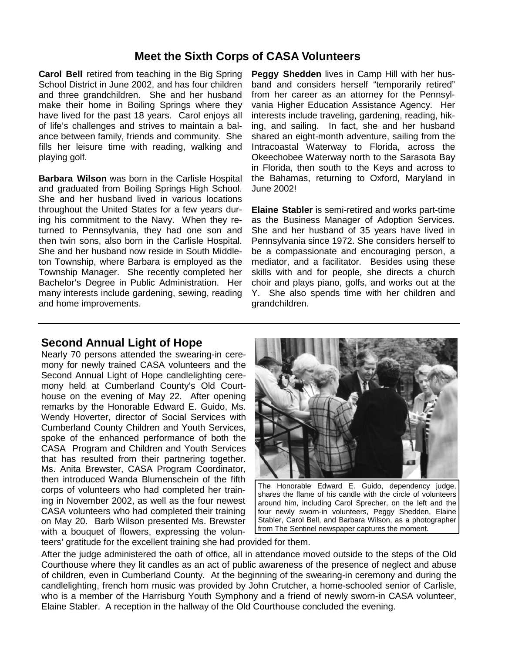#### **Meet the Sixth Corps of CASA Volunteers**

**Carol Bell** retired from teaching in the Big Spring School District in June 2002, and has four children and three grandchildren. She and her husband make their home in Boiling Springs where they have lived for the past 18 years. Carol enjoys all of life's challenges and strives to maintain a balance between family, friends and community. She fills her leisure time with reading, walking and playing golf.

**Barbara Wilson** was born in the Carlisle Hospital and graduated from Boiling Springs High School. She and her husband lived in various locations throughout the United States for a few years during his commitment to the Navy. When they returned to Pennsylvania, they had one son and then twin sons, also born in the Carlisle Hospital. She and her husband now reside in South Middleton Township, where Barbara is employed as the Township Manager. She recently completed her Bachelor's Degree in Public Administration. Her many interests include gardening, sewing, reading and home improvements.

**Peggy Shedden** lives in Camp Hill with her husband and considers herself "temporarily retired" from her career as an attorney for the Pennsylvania Higher Education Assistance Agency. Her interests include traveling, gardening, reading, hiking, and sailing. In fact, she and her husband shared an eight-month adventure, sailing from the Intracoastal Waterway to Florida, across the Okeechobee Waterway north to the Sarasota Bay in Florida, then south to the Keys and across to the Bahamas, returning to Oxford, Maryland in June 2002!

**Elaine Stabler** is semi-retired and works part-time as the Business Manager of Adoption Services. She and her husband of 35 years have lived in Pennsylvania since 1972. She considers herself to be a compassionate and encouraging person, a mediator, and a facilitator. Besides using these skills with and for people, she directs a church choir and plays piano, golfs, and works out at the Y. She also spends time with her children and grandchildren.

#### **Second Annual Light of Hope**

Nearly 70 persons attended the swearing-in ceremony for newly trained CASA volunteers and the Second Annual Light of Hope candlelighting ceremony held at Cumberland County's Old Courthouse on the evening of May 22. After opening remarks by the Honorable Edward E. Guido, Ms. Wendy Hoverter, director of Social Services with Cumberland County Children and Youth Services, spoke of the enhanced performance of both the CASA Program and Children and Youth Services that has resulted from their partnering together. Ms. Anita Brewster, CASA Program Coordinator, then introduced Wanda Blumenschein of the fifth corps of volunteers who had completed her training in November 2002, as well as the four newest CASA volunteers who had completed their training on May 20. Barb Wilson presented Ms. Brewster with a bouquet of flowers, expressing the volun-



The Honorable Edward E. Guido, dependency judge, shares the flame of his candle with the circle of volunteers around him, including Carol Sprecher, on the left and the four newly sworn-in volunteers, Peggy Shedden, Elaine Stabler, Carol Bell, and Barbara Wilson, as a photographer from The Sentinel newspaper captures the moment.

teers' gratitude for the excellent training she had provided for them.

After the judge administered the oath of office, all in attendance moved outside to the steps of the Old Courthouse where they lit candles as an act of public awareness of the presence of neglect and abuse of children, even in Cumberland County. At the beginning of the swearing-in ceremony and during the candlelighting, french horn music was provided by John Crutcher, a home-schooled senior of Carlisle, who is a member of the Harrisburg Youth Symphony and a friend of newly sworn-in CASA volunteer, Elaine Stabler. A reception in the hallway of the Old Courthouse concluded the evening.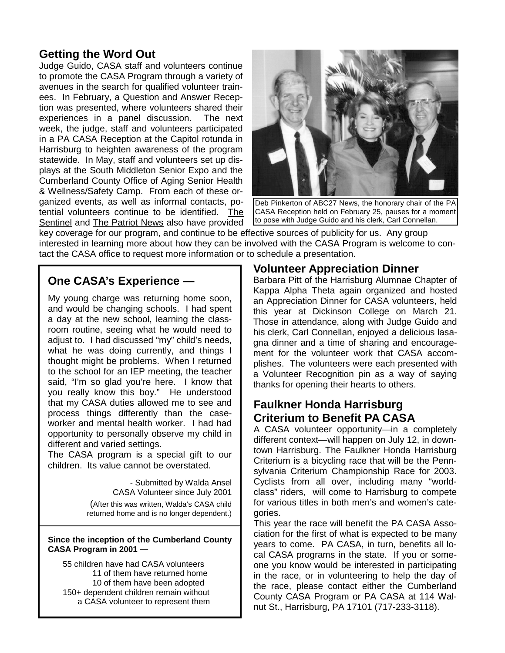#### **Getting the Word Out**

Judge Guido, CASA staff and volunteers continue to promote the CASA Program through a variety of avenues in the search for qualified volunteer trainees. In February, a Question and Answer Reception was presented, where volunteers shared their experiences in a panel discussion. The next week, the judge, staff and volunteers participated in a PA CASA Reception at the Capitol rotunda in Harrisburg to heighten awareness of the program statewide. In May, staff and volunteers set up displays at the South Middleton Senior Expo and the Cumberland County Office of Aging Senior Health & Wellness/Safety Camp. From each of these organized events, as well as informal contacts, potential volunteers continue to be identified. The Sentinel and The Patriot News also have provided



Deb Pinkerton of ABC27 News, the honorary chair of the PA CASA Reception held on February 25, pauses for a moment to pose with Judge Guido and his clerk, Carl Connellan.

key coverage for our program, and continue to be effective sources of publicity for us. Any group interested in learning more about how they can be involved with the CASA Program is welcome to contact the CASA office to request more information or to schedule a presentation.

#### **One CASA's Experience —**

My young charge was returning home soon, and would be changing schools. I had spent a day at the new school, learning the classroom routine, seeing what he would need to adjust to. I had discussed "my" child's needs, what he was doing currently, and things I thought might be problems. When I returned to the school for an IEP meeting, the teacher said, "I'm so glad you're here. I know that you really know this boy." He understood that my CASA duties allowed me to see and process things differently than the caseworker and mental health worker. I had had opportunity to personally observe my child in different and varied settings.

The CASA program is a special gift to our children. Its value cannot be overstated.

> - Submitted by Walda Ansel CASA Volunteer since July 2001

(After this was written, Walda's CASA child returned home and is no longer dependent.)

#### **Since the inception of the Cumberland County CASA Program in 2001 —**

 55 children have had CASA volunteers 11 of them have returned home 10 of them have been adopted 150+ dependent children remain without a CASA volunteer to represent them

#### **Volunteer Appreciation Dinner**

Barbara Pitt of the Harrisburg Alumnae Chapter of Kappa Alpha Theta again organized and hosted an Appreciation Dinner for CASA volunteers, held this year at Dickinson College on March 21. Those in attendance, along with Judge Guido and his clerk, Carl Connellan, enjoyed a delicious lasagna dinner and a time of sharing and encouragement for the volunteer work that CASA accomplishes. The volunteers were each presented with a Volunteer Recognition pin as a way of saying thanks for opening their hearts to others.

#### **Faulkner Honda Harrisburg Criterium to Benefit PA CASA**

A CASA volunteer opportunity—in a completely different context—will happen on July 12, in downtown Harrisburg. The Faulkner Honda Harrisburg Criterium is a bicycling race that will be the Pennsylvania Criterium Championship Race for 2003. Cyclists from all over, including many "worldclass" riders, will come to Harrisburg to compete for various titles in both men's and women's categories.

This year the race will benefit the PA CASA Association for the first of what is expected to be many years to come. PA CASA, in turn, benefits all local CASA programs in the state. If you or someone you know would be interested in participating in the race, or in volunteering to help the day of the race, please contact either the Cumberland County CASA Program or PA CASA at 114 Walnut St., Harrisburg, PA 17101 (717-233-3118).